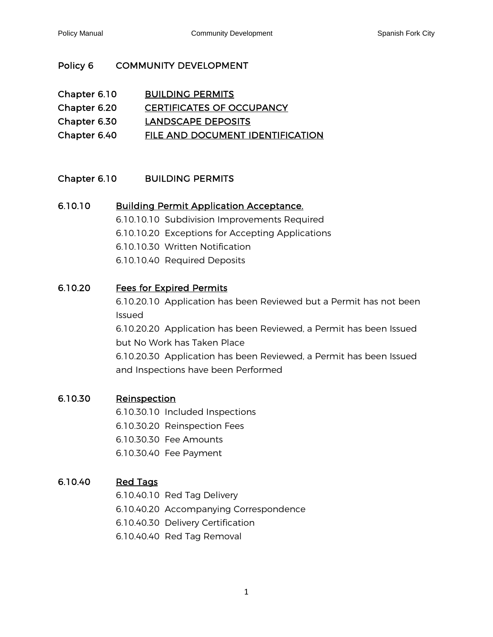# Policy 6 COMMUNITY DEVELOPMENT

<span id="page-0-6"></span><span id="page-0-5"></span><span id="page-0-0"></span>

| Chapter 6.10 | <b>BUILDING PERMITS</b>          |
|--------------|----------------------------------|
| Chapter 6.20 | <b>CERTIFICATES OF OCCUPANCY</b> |
| Chapter 6.30 | LANDSCAPE DEPOSITS               |
| Chapter 6.40 | FILE AND DOCUMENT IDENTIFICATION |

# Chapter 6.10 BUILDING PERMITS

# 6.10.10 [Building Permit Application Acceptance.](#page-2-1)

<span id="page-0-7"></span><span id="page-0-1"></span>6.10.10.10 Subdivision Improvements Required

6.10.10.20 Exceptions for Accepting Applications

6.10.10.30 Written Notification

6.10.10.40 Required Deposits

# 6.10.20 [Fees for Expired Permits](#page-3-0)

<span id="page-0-2"></span>6.10.20.10 Application has been Reviewed but a Permit has not been Issued

6.10.20.20 Application has been Reviewed, a Permit has been Issued but No Work has Taken Place

6.10.20.30 Application has been Reviewed, a Permit has been Issued and Inspections have been Performed

## 6.10.30 [Reinspection](#page-4-0)

- <span id="page-0-3"></span>6.10.30.10 Included Inspections
- 6.10.30.20 Reinspection Fees
- 6.10.30.30 Fee Amounts
- 6.10.30.40 Fee Payment

# 6.10.40 [Red Tags](#page-4-1)

<span id="page-0-4"></span>6.10.40.10 Red Tag Delivery

- 6.10.40.20 Accompanying Correspondence
- 6.10.40.30 Delivery Certification
- 6.10.40.40 Red Tag Removal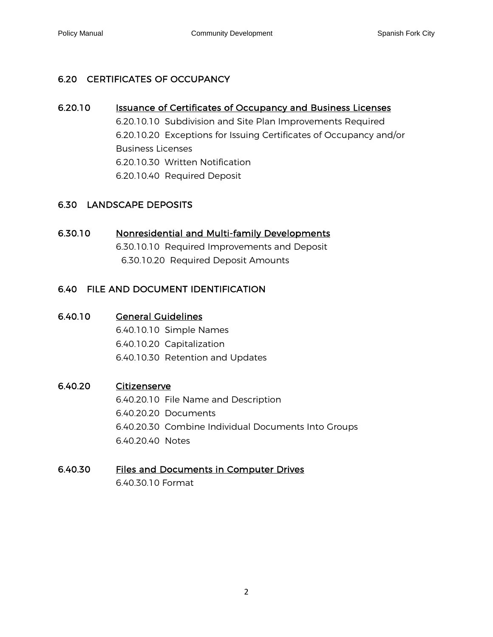# 6.20 CERTIFICATES OF OCCUPANCY

## 6.20.10 **Issuance of Certificates of Occupancy and Business Licenses**

<span id="page-1-0"></span>6.20.10.10 Subdivision and Site Plan Improvements Required 6.20.10.20 Exceptions for Issuing Certificates of Occupancy and/or Business Licenses 6.20.10.30 Written Notification 6.20.10.40 Required Deposit

# 6.30 LANDSCAPE DEPOSITS

# 6.30.10 [Nonresidential and Multi-family Developments](#page-6-1)

<span id="page-1-1"></span>6.30.10.10 Required Improvements and Deposit 6.30.10.20 Required Deposit Amounts

# 6.40 FILE AND DOCUMENT IDENTIFICATION

## 6.40.10 [General Guidelines](#page-7-0)

<span id="page-1-2"></span>6.40.10.10 Simple Names

6.40.10.20 Capitalization

6.40.10.30 Retention and Updates

## 6.40.20 [Citizenserve](#page-7-1)

<span id="page-1-3"></span>6.40.20.10 File Name and Description 6.40.20.20 Documents 6.40.20.30 Combine Individual Documents Into Groups 6.40.20.40 Notes

## 6.40.30 [Files and Documents in Computer Drives](#page-8-0)

<span id="page-1-4"></span>6.40.30.10 Format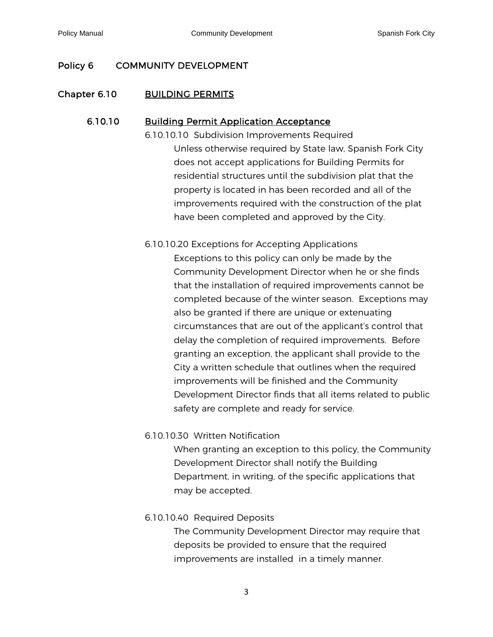# Policy 6 COMMUNITY DEVELOPMENT

## Chapter 6.10 BUILDING PERMITS

## 6.10.10 [Building Permit Application Acceptance](#page-0-1)

<span id="page-2-1"></span><span id="page-2-0"></span>6.10.10.10 Subdivision Improvements Required Unless otherwise required by State law, Spanish Fork City does not accept applications for Building Permits for residential structures until the subdivision plat that the property is located in has been recorded and all of the improvements required with the construction of the plat have been completed and approved by the City.

## 6.10.10.20 Exceptions for Accepting Applications

Exceptions to this policy can only be made by the Community Development Director when he or she finds that the installation of required improvements cannot be completed because of the winter season. Exceptions may also be granted if there are unique or extenuating circumstances that are out of the applicant's control that delay the completion of required improvements. Before granting an exception, the applicant shall provide to the City a written schedule that outlines when the required improvements will be finished and the Community Development Director finds that all items related to public safety are complete and ready for service.

### 6.10.10.30 Written Notification

When granting an exception to this policy, the Community Development Director shall notify the Building Department, in writing, of the specific applications that may be accepted.

### 6.10.10.40 Required Deposits

The Community Development Director may require that deposits be provided to ensure that the required improvements are installed in a timely manner.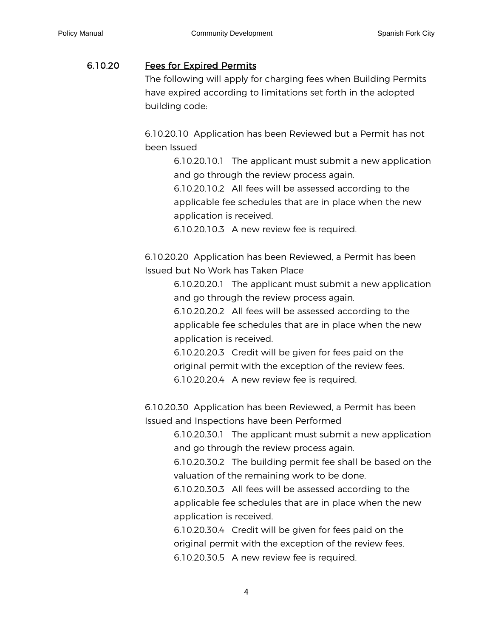## 6.10.20 [Fees for Expired Permits](#page-0-2)

<span id="page-3-0"></span>The following will apply for charging fees when Building Permits have expired according to limitations set forth in the adopted building code:

6.10.20.10 Application has been Reviewed but a Permit has not been Issued

> 6.10.20.10.1 The applicant must submit a new application and go through the review process again.

6.10.20.10.2 All fees will be assessed according to the applicable fee schedules that are in place when the new application is received.

6.10.20.10.3 A new review fee is required.

6.10.20.20 Application has been Reviewed, a Permit has been Issued but No Work has Taken Place

> 6.10.20.20.1 The applicant must submit a new application and go through the review process again.

6.10.20.20.2 All fees will be assessed according to the applicable fee schedules that are in place when the new application is received.

6.10.20.20.3 Credit will be given for fees paid on the original permit with the exception of the review fees. 6.10.20.20.4 A new review fee is required.

6.10.20.30 Application has been Reviewed, a Permit has been Issued and Inspections have been Performed

> 6.10.20.30.1 The applicant must submit a new application and go through the review process again.

> 6.10.20.30.2 The building permit fee shall be based on the valuation of the remaining work to be done.

6.10.20.30.3 All fees will be assessed according to the applicable fee schedules that are in place when the new application is received.

6.10.20.30.4 Credit will be given for fees paid on the original permit with the exception of the review fees. 6.10.20.30.5 A new review fee is required.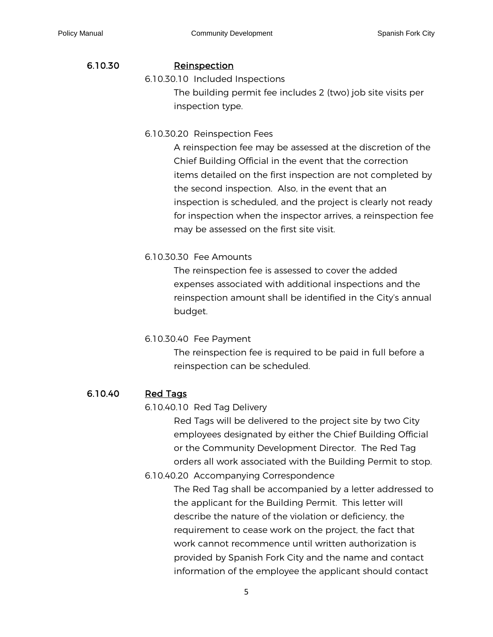### 6.10.30 [Reinspection](#page-0-3)

6.10.30.10 Included Inspections

<span id="page-4-0"></span>The building permit fee includes 2 (two) job site visits per inspection type.

6.10.30.20 Reinspection Fees

A reinspection fee may be assessed at the discretion of the Chief Building Official in the event that the correction items detailed on the first inspection are not completed by the second inspection. Also, in the event that an inspection is scheduled, and the project is clearly not ready for inspection when the inspector arrives, a reinspection fee may be assessed on the first site visit.

## 6.10.30.30 Fee Amounts

The reinspection fee is assessed to cover the added expenses associated with additional inspections and the reinspection amount shall be identified in the City's annual budget.

### 6.10.30.40 Fee Payment

The reinspection fee is required to be paid in full before a reinspection can be scheduled.

## 6.10.40 [Red Tags](#page-0-4)

<span id="page-4-1"></span>6.10.40.10 Red Tag Delivery

Red Tags will be delivered to the project site by two City employees designated by either the Chief Building Official or the Community Development Director. The Red Tag orders all work associated with the Building Permit to stop.

6.10.40.20 Accompanying Correspondence

The Red Tag shall be accompanied by a letter addressed to the applicant for the Building Permit. This letter will describe the nature of the violation or deficiency, the requirement to cease work on the project, the fact that work cannot recommence until written authorization is provided by Spanish Fork City and the name and contact information of the employee the applicant should contact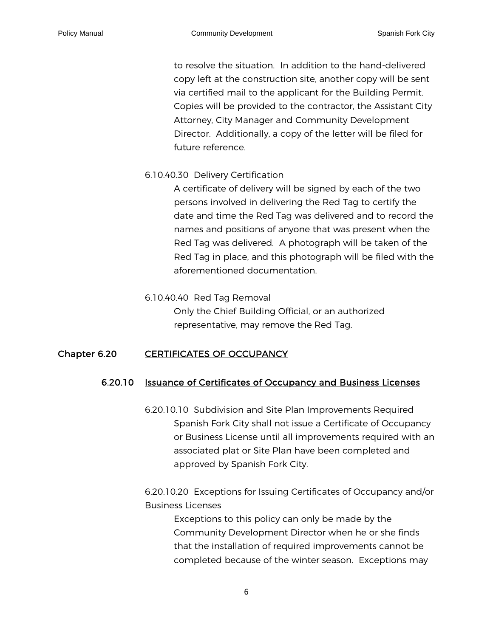to resolve the situation. In addition to the hand-delivered copy left at the construction site, another copy will be sent via certified mail to the applicant for the Building Permit. Copies will be provided to the contractor, the Assistant City Attorney, City Manager and Community Development Director. Additionally, a copy of the letter will be filed for future reference.

#### 6.10.40.30 Delivery Certification

A certificate of delivery will be signed by each of the two persons involved in delivering the Red Tag to certify the date and time the Red Tag was delivered and to record the names and positions of anyone that was present when the Red Tag was delivered. A photograph will be taken of the Red Tag in place, and this photograph will be filed with the aforementioned documentation.

#### 6.10.40.40 Red Tag Removal

<span id="page-5-0"></span>Only the Chief Building Official, or an authorized representative, may remove the Red Tag.

### Chapter 6.20 CERTIFICATES OF OCCUPANCY

#### 6.20.10 Issuance of Certificates of Occupancy and Business Licenses

<span id="page-5-1"></span>6.20.10.10 Subdivision and Site Plan Improvements Required Spanish Fork City shall not issue a Certificate of Occupancy or Business License until all improvements required with an associated plat or Site Plan have been completed and approved by Spanish Fork City.

6.20.10.20 Exceptions for Issuing Certificates of Occupancy and/or Business Licenses

Exceptions to this policy can only be made by the Community Development Director when he or she finds that the installation of required improvements cannot be completed because of the winter season. Exceptions may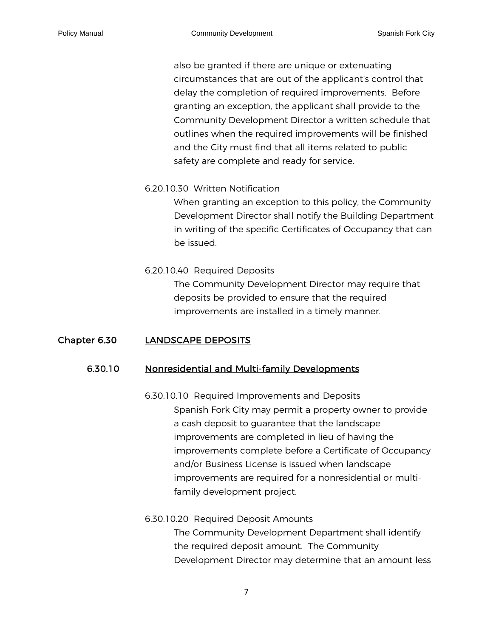also be granted if there are unique or extenuating circumstances that are out of the applicant's control that delay the completion of required improvements. Before granting an exception, the applicant shall provide to the Community Development Director a written schedule that outlines when the required improvements will be finished and the City must find that all items related to public safety are complete and ready for service.

6.20.10.30 Written Notification

When granting an exception to this policy, the Community Development Director shall notify the Building Department in writing of the specific Certificates of Occupancy that can be issued.

#### 6.20.10.40 Required Deposits

The Community Development Director may require that deposits be provided to ensure that the required improvements are installed in a timely manner.

#### Chapter 6.30 LANDSCAPE DEPOSITS

#### 6.30.10 [Nonresidential and Multi-family Developments](#page-1-1)

<span id="page-6-1"></span><span id="page-6-0"></span>6.30.10.10 Required Improvements and Deposits Spanish Fork City may permit a property owner to provide a cash deposit to guarantee that the landscape improvements are completed in lieu of having the improvements complete before a Certificate of Occupancy and/or Business License is issued when landscape improvements are required for a nonresidential or multifamily development project.

6.30.10.20 Required Deposit Amounts The Community Development Department shall identify the required deposit amount. The Community Development Director may determine that an amount less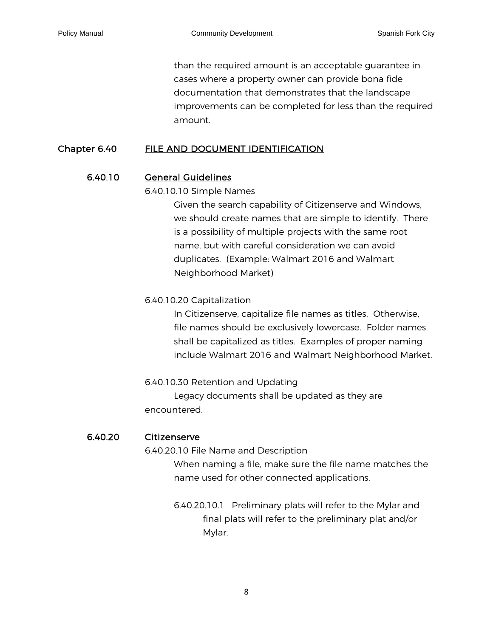than the required amount is an acceptable guarantee in cases where a property owner can provide bona fide documentation that demonstrates that the landscape improvements can be completed for less than the required amount.

## Chapter 6.40 FILE AND DOCUMENT IDENTIFICATION

## 6.40.10 [General Guidelines](#page-1-2)

### <span id="page-7-0"></span>6.40.10.10 Simple Names

Given the search capability of Citizenserve and Windows, we should create names that are simple to identify. There is a possibility of multiple projects with the same root name, but with careful consideration we can avoid duplicates. (Example: Walmart 2016 and Walmart Neighborhood Market)

## 6.40.10.20 Capitalization

In Citizenserve, capitalize file names as titles. Otherwise, file names should be exclusively lowercase. Folder names shall be capitalized as titles. Examples of proper naming include Walmart 2016 and Walmart Neighborhood Market.

6.40.10.30 Retention and Updating Legacy documents shall be updated as they are encountered.

### 6.40.20 [Citizenserve](#page-1-3)

<span id="page-7-1"></span>6.40.20.10 File Name and Description

When naming a file, make sure the file name matches the name used for other connected applications.

6.40.20.10.1 Preliminary plats will refer to the Mylar and final plats will refer to the preliminary plat and/or Mylar.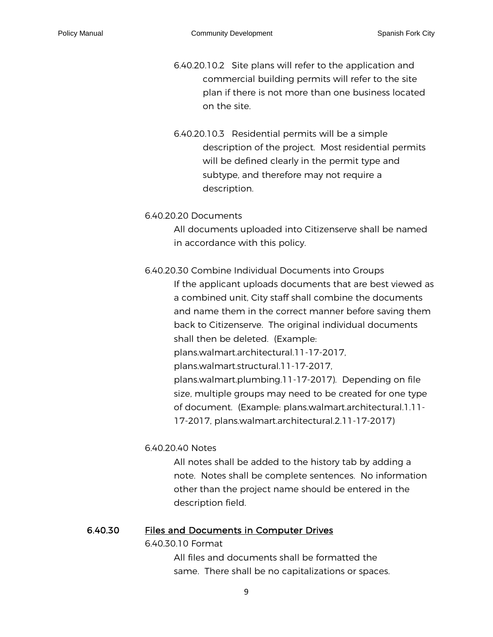6.40.20.10.2 Site plans will refer to the application and commercial building permits will refer to the site plan if there is not more than one business located on the site.

6.40.20.10.3 Residential permits will be a simple description of the project. Most residential permits will be defined clearly in the permit type and subtype, and therefore may not require a description.

6.40.20.20 Documents

All documents uploaded into Citizenserve shall be named in accordance with this policy.

6.40.20.30 Combine Individual Documents into Groups If the applicant uploads documents that are best viewed as a combined unit, City staff shall combine the documents and name them in the correct manner before saving them back to Citizenserve. The original individual documents shall then be deleted. (Example: plans.walmart.architectural.11-17-2017, plans.walmart.structural.11-17-2017, plans.walmart.plumbing.11-17-2017). Depending on file size, multiple groups may need to be created for one type of document. (Example: plans.walmart.architectural.1.11- 17-2017, plans.walmart.architectural.2.11-17-2017)

6.40.20.40 Notes

All notes shall be added to the history tab by adding a note. Notes shall be complete sentences. No information other than the project name should be entered in the description field.

#### 6.40.30 [Files and Documents in Computer Drives](#page-1-4)

<span id="page-8-0"></span>6.40.30.10 Format

All files and documents shall be formatted the same. There shall be no capitalizations or spaces.